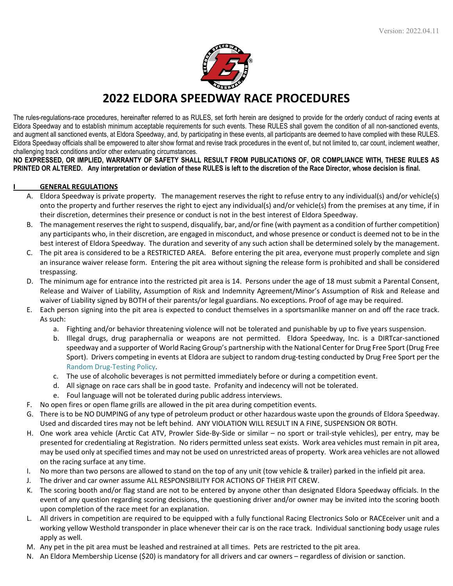

# **2022 ELDORA SPEEDWAY RACE PROCEDURES**

The rules-regulations-race procedures, hereinafter referred to as RULES, set forth herein are designed to provide for the orderly conduct of racing events at Eldora Speedway and to establish minimum acceptable requirements for such events. These RULES shall govern the condition of all non-sanctioned events, and augment all sanctioned events, at Eldora Speedway, and, by participating in these events, all participants are deemed to have complied with these RULES. Eldora Speedway officials shall be empowered to alter show format and revise track procedures in the event of, but not limited to, car count, inclement weather, challenging track conditions and/or other extenuating circumstances.

**NO EXPRESSED, OR IMPLIED, WARRANTY OF SAFETY SHALL RESULT FROM PUBLICATIONS OF, OR COMPLIANCE WITH, THESE RULES AS PRINTED OR ALTERED. Any interpretation or deviation of these RULES is left to the discretion of the Race Director, whose decision is final.**

## **I GENERAL REGULATIONS**

- A. Eldora Speedway is private property. The management reserves the right to refuse entry to any individual(s) and/or vehicle(s) onto the property and further reserves the right to eject any individual(s) and/or vehicle(s) from the premises at any time, if in their discretion, determines their presence or conduct is not in the best interest of Eldora Speedway.
- B. The management reserves the right to suspend, disqualify, bar, and/or fine (with payment as a condition of further competition) any participants who, in their discretion, are engaged in misconduct, and whose presence or conduct is deemed not to be in the best interest of Eldora Speedway. The duration and severity of any such action shall be determined solely by the management.
- C. The pit area is considered to be a RESTRICTED AREA. Before entering the pit area, everyone must properly complete and sign an insurance waiver release form. Entering the pit area without signing the release form is prohibited and shall be considered trespassing.
- D. The minimum age for entrance into the restricted pit area is 14. Persons under the age of 18 must submit a Parental Consent, Release and Waiver of Liability, Assumption of Risk and Indemnity Agreement/Minor's Assumption of Risk and Release and waiver of Liability signed by BOTH of their parents/or legal guardians. No exceptions. Proof of age may be required.
- E. Each person signing into the pit area is expected to conduct themselves in a sportsmanlike manner on and off the race track. As such:
	- a. Fighting and/or behavior threatening violence will not be tolerated and punishable by up to five years suspension.
	- b. Illegal drugs, drug paraphernalia or weapons are not permitted. Eldora Speedway, Inc. is a DIRTcar-sanctioned speedway and a supporter of World Racing Group's partnership with the National Center for Drug Free Sport (Drug Free Sport). Drivers competing in events at Eldora are subject to random drug-testing conducted by Drug Free Sport per the Random Drug-Testing Policy.
	- c. The use of alcoholic beverages is not permitted immediately before or during a competition event.
	- d. All signage on race cars shall be in good taste. Profanity and indecency will not be tolerated.
	- e. Foul language will not be tolerated during public address interviews.
- F. No open fires or open flame grills are allowed in the pit area during competition events.
- G. There is to be NO DUMPING of any type of petroleum product or other hazardous waste upon the grounds of Eldora Speedway. Used and discarded tires may not be left behind. ANY VIOLATION WILL RESULT IN A FINE, SUSPENSION OR BOTH.
- H. One work area vehicle (Arctic Cat ATV, Prowler Side-By-Side or similar no sport or trail-style vehicles), per entry, may be presented for credentialing at Registration. No riders permitted unless seat exists. Work area vehicles must remain in pit area, may be used only at specified times and may not be used on unrestricted areas of property. Work area vehicles are not allowed on the racing surface at any time.
- I. No more than two persons are allowed to stand on the top of any unit (tow vehicle & trailer) parked in the infield pit area.
- J. The driver and car owner assume ALL RESPONSIBILITY FOR ACTIONS OF THEIR PIT CREW.
- K. The scoring booth and/or flag stand are not to be entered by anyone other than designated Eldora Speedway officials. In the event of any question regarding scoring decisions, the questioning driver and/or owner may be invited into the scoring booth upon completion of the race meet for an explanation.
- L. All drivers in competition are required to be equipped with a fully functional Racing Electronics Solo or RACEceiver unit and a working yellow Westhold transponder in place whenever their car is on the race track. Individual sanctioning body usage rules apply as well.
- M. Any pet in the pit area must be leashed and restrained at all times. Pets are restricted to the pit area.
- N. An Eldora Membership License (\$20) is mandatory for all drivers and car owners regardless of division or sanction.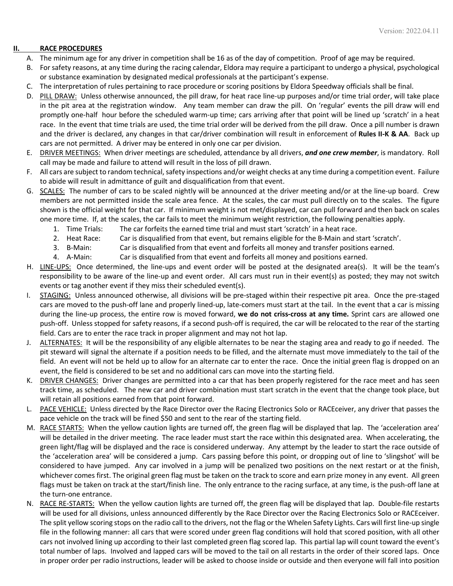# **II. RACE PROCEDURES**

- A. The minimum age for any driver in competition shall be 16 as of the day of competition. Proof of age may be required.
- B. For safety reasons, at any time during the racing calendar, Eldora may require a participant to undergo a physical, psychological or substance examination by designated medical professionals at the participant's expense.
- C. The interpretation of rules pertaining to race procedure or scoring positions by Eldora Speedway officials shall be final.
- D. PILL DRAW: Unless otherwise announced, the pill draw, for heat race line-up purposes and/or time trial order, will take place in the pit area at the registration window. Any team member can draw the pill. On 'regular' events the pill draw will end promptly one-half hour before the scheduled warm-up time; cars arriving after that point will be lined up 'scratch' in a heat race. In the event that time trials are used, the time trial order will be derived from the pill draw. Once a pill number is drawn and the driver is declared, any changes in that car/driver combination will result in enforcement of **Rules II-K & AA**. Back up cars are not permitted. A driver may be entered in only one car per division.
- E. DRIVER MEETINGS: When driver meetings are scheduled, attendance by all drivers, *and one crew member*, is mandatory. Roll call may be made and failure to attend will result in the loss of pill drawn.
- F. All cars are subject to random technical, safety inspections and/or weight checks at any time during a competition event. Failure to abide will result in admittance of guilt and disqualification from that event.
- G. SCALES: The number of cars to be scaled nightly will be announced at the driver meeting and/or at the line-up board. Crew members are not permitted inside the scale area fence. At the scales, the car must pull directly on to the scales. The figure shown is the official weight for that car. If minimum weight is not met/displayed, car can pull forward and then back on scales one more time. If, at the scales, the car fails to meet the minimum weight restriction, the following penalties apply.
	- 1. Time Trials: The car forfeits the earned time trial and must start 'scratch' in a heat race.
	- 2. Heat Race: Car is disqualified from that event, but remains eligible for the B-Main and start 'scratch'.
	- 3. B-Main: Car is disqualified from that event and forfeits all money and transfer positions earned.
	- 4. A-Main: Car is disqualified from that event and forfeits all money and positions earned.
- H. LINE-UPS: Once determined, the line-ups and event order will be posted at the designated area(s). It will be the team's responsibility to be aware of the line-up and event order. All cars must run in their event(s) as posted; they may not switch events or tag another event if they miss their scheduled event(s).
- I. STAGING: Unless announced otherwise, all divisions will be pre-staged within their respective pit area. Once the pre-staged cars are moved to the push-off lane and properly lined-up, late-comers must start at the tail. In the event that a car is missing during the line-up process, the entire row is moved forward, **we do not criss-cross at any time.** Sprint cars are allowed one push-off. Unless stopped for safety reasons, if a second push-off is required, the car will be relocated to the rear of the starting field. Cars are to enter the race track in proper alignment and may not hot lap.
- J. ALTERNATES: It will be the responsibility of any eligible alternates to be near the staging area and ready to go if needed. The pit steward will signal the alternate if a position needs to be filled, and the alternate must move immediately to the tail of the field. An event will not be held up to allow for an alternate car to enter the race. Once the initial green flag is dropped on an event, the field is considered to be set and no additional cars can move into the starting field.
- K. DRIVER CHANGES: Driver changes are permitted into a car that has been properly registered for the race meet and has seen track time, as scheduled. The new car and driver combination must start scratch in the event that the change took place, but will retain all positions earned from that point forward.
- L. PACE VEHICLE: Unless directed by the Race Director over the Racing Electronics Solo or RACEceiver, any driver that passes the pace vehicle on the track will be fined \$50 and sent to the rear of the starting field.
- M. RACE STARTS: When the yellow caution lights are turned off, the green flag will be displayed that lap. The 'acceleration area' will be detailed in the driver meeting. The race leader must start the race within this designated area. When accelerating, the green light/flag will be displayed and the race is considered underway. Any attempt by the leader to start the race outside of the 'acceleration area' will be considered a jump. Cars passing before this point, or dropping out of line to 'slingshot' will be considered to have jumped. Any car involved in a jump will be penalized two positions on the next restart or at the finish, whichever comes first. The original green flag must be taken on the track to score and earn prize money in any event. All green flags must be taken on track at the start/finish line. The only entrance to the racing surface, at any time, is the push-off lane at the turn-one entrance.
- N. RACE RE-STARTS: When the yellow caution lights are turned off, the green flag will be displayed that lap. Double-file restarts will be used for all divisions, unless announced differently by the Race Director over the Racing Electronics Solo or RACEceiver. The split yellow scoring stops on the radio call to the drivers, not the flag or the Whelen Safety Lights. Cars will first line-up single file in the following manner: all cars that were scored under green flag conditions will hold that scored position, with all other cars not involved lining up according to their last completed green flag scored lap. This partial lap will count toward the event's total number of laps. Involved and lapped cars will be moved to the tail on all restarts in the order of their scored laps. Once in proper order per radio instructions, leader will be asked to choose inside or outside and then everyone will fall into position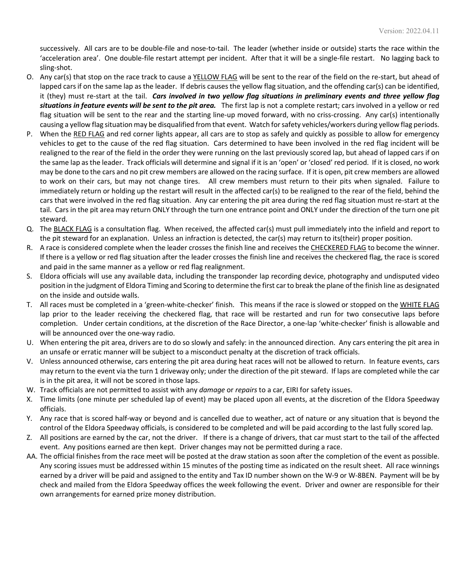successively. All cars are to be double-file and nose-to-tail. The leader (whether inside or outside) starts the race within the 'acceleration area'. One double-file restart attempt per incident. After that it will be a single-file restart. No lagging back to sling-shot.

- O. Any car(s) that stop on the race track to cause a YELLOW FLAG will be sent to the rear of the field on the re-start, but ahead of lapped cars if on the same lap as the leader. If debris causes the yellow flag situation, and the offending car(s) can be identified, it (they) must re-start at the tail. *Cars involved in two yellow flag situations in preliminary events and three yellow flag situations in feature events will be sent to the pit area.* The first lap is not a complete restart; cars involved in a yellow or red flag situation will be sent to the rear and the starting line-up moved forward, with no criss-crossing. Any car(s) intentionally causing a yellow flag situation may be disqualified from that event. Watch for safety vehicles/workers during yellow flag periods.
- P. When the RED FLAG and red corner lights appear, all cars are to stop as safely and quickly as possible to allow for emergency vehicles to get to the cause of the red flag situation. Cars determined to have been involved in the red flag incident will be realigned to the rear of the field in the order they were running on the last previously scored lap, but ahead of lapped cars if on the same lap as the leader. Track officials will determine and signal if it is an 'open' or 'closed' red period. If it is closed, no work may be done to the cars and no pit crew members are allowed on the racing surface. If it is open, pit crew members are allowed to work on their cars, but may not change tires. All crew members must return to their pits when signaled. Failure to immediately return or holding up the restart will result in the affected car(s) to be realigned to the rear of the field, behind the cars that were involved in the red flag situation. Any car entering the pit area during the red flag situation must re-start at the tail. Cars in the pit area may return ONLY through the turn one entrance point and ONLY under the direction of the turn one pit steward.
- Q. The BLACK FLAG is a consultation flag. When received, the affected car(s) must pull immediately into the infield and report to the pit steward for an explanation. Unless an infraction is detected, the car(s) may return to its(their) proper position.
- R. A race is considered complete when the leader crosses the finish line and receives the CHECKERED FLAG to become the winner. If there is a yellow or red flag situation after the leader crosses the finish line and receives the checkered flag, the race is scored and paid in the same manner as a yellow or red flag realignment.
- S. Eldora officials will use any available data, including the transponder lap recording device, photography and undisputed video position in the judgment of Eldora Timing and Scoring to determine the first car to break the plane of the finish line as designated on the inside and outside walls.
- T. All races must be completed in a 'green-white-checker' finish. This means if the race is slowed or stopped on the WHITE FLAG lap prior to the leader receiving the checkered flag, that race will be restarted and run for two consecutive laps before completion. Under certain conditions, at the discretion of the Race Director, a one-lap 'white-checker' finish is allowable and will be announced over the one-way radio.
- U. When entering the pit area, drivers are to do so slowly and safely: in the announced direction. Any cars entering the pit area in an unsafe or erratic manner will be subject to a misconduct penalty at the discretion of track officials.
- V. Unless announced otherwise, cars entering the pit area during heat races will not be allowed to return. In feature events, cars may return to the event via the turn 1 driveway only; under the direction of the pit steward. If laps are completed while the car is in the pit area, it will not be scored in those laps.
- W. Track officials are not permitted to assist with any *damage* or *repairs* to a car, EIRI for safety issues.
- X. Time limits (one minute per scheduled lap of event) may be placed upon all events, at the discretion of the Eldora Speedway officials.
- Y. Any race that is scored half-way or beyond and is cancelled due to weather, act of nature or any situation that is beyond the control of the Eldora Speedway officials, is considered to be completed and will be paid according to the last fully scored lap.
- Z. All positions are earned by the car, not the driver. If there is a change of drivers, that car must start to the tail of the affected event. Any positions earned are then kept. Driver changes may not be permitted during a race.
- AA. The official finishes from the race meet will be posted at the draw station as soon after the completion of the event as possible. Any scoring issues must be addressed within 15 minutes of the posting time as indicated on the result sheet. All race winnings earned by a driver will be paid and assigned to the entity and Tax ID number shown on the W-9 or W-8BEN. Payment will be by check and mailed from the Eldora Speedway offices the week following the event. Driver and owner are responsible for their own arrangements for earned prize money distribution.